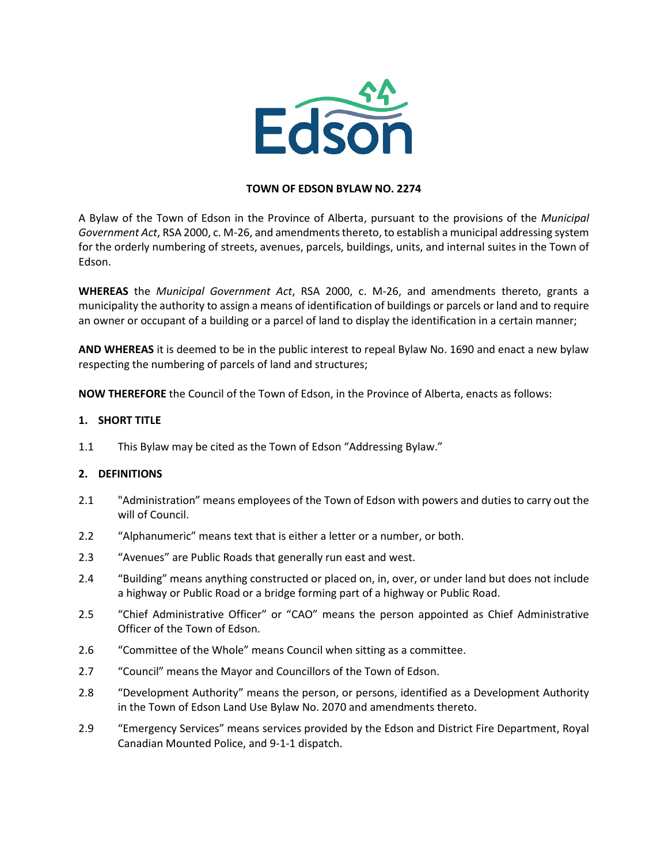

## **TOWN OF EDSON BYLAW NO. 2274**

A Bylaw of the Town of Edson in the Province of Alberta, pursuant to the provisions of the *Municipal Government Act*, RSA 2000, c. M-26, and amendments thereto, to establish a municipal addressing system for the orderly numbering of streets, avenues, parcels, buildings, units, and internal suites in the Town of Edson.

**WHEREAS** the *Municipal Government Act*, RSA 2000, c. M-26, and amendments thereto, grants a municipality the authority to assign a means of identification of buildings or parcels or land and to require an owner or occupant of a building or a parcel of land to display the identification in a certain manner;

**AND WHEREAS** it is deemed to be in the public interest to repeal Bylaw No. 1690 and enact a new bylaw respecting the numbering of parcels of land and structures;

**NOW THEREFORE** the Council of the Town of Edson, in the Province of Alberta, enacts as follows:

## **1. SHORT TITLE**

1.1 This Bylaw may be cited as the Town of Edson "Addressing Bylaw."

### **2. DEFINITIONS**

- 2.1 "Administration" means employees of the Town of Edson with powers and duties to carry out the will of Council.
- 2.2 "Alphanumeric" means text that is either a letter or a number, or both.
- 2.3 "Avenues" are Public Roads that generally run east and west.
- 2.4 "Building" means anything constructed or placed on, in, over, or under land but does not include a highway or Public Road or a bridge forming part of a highway or Public Road.
- 2.5 "Chief Administrative Officer" or "CAO" means the person appointed as Chief Administrative Officer of the Town of Edson.
- 2.6 "Committee of the Whole" means Council when sitting as a committee.
- 2.7 "Council" means the Mayor and Councillors of the Town of Edson.
- 2.8 "Development Authority" means the person, or persons, identified as a Development Authority in the Town of Edson Land Use Bylaw No. 2070 and amendments thereto.
- 2.9 "Emergency Services" means services provided by the Edson and District Fire Department, Royal Canadian Mounted Police, and 9-1-1 dispatch.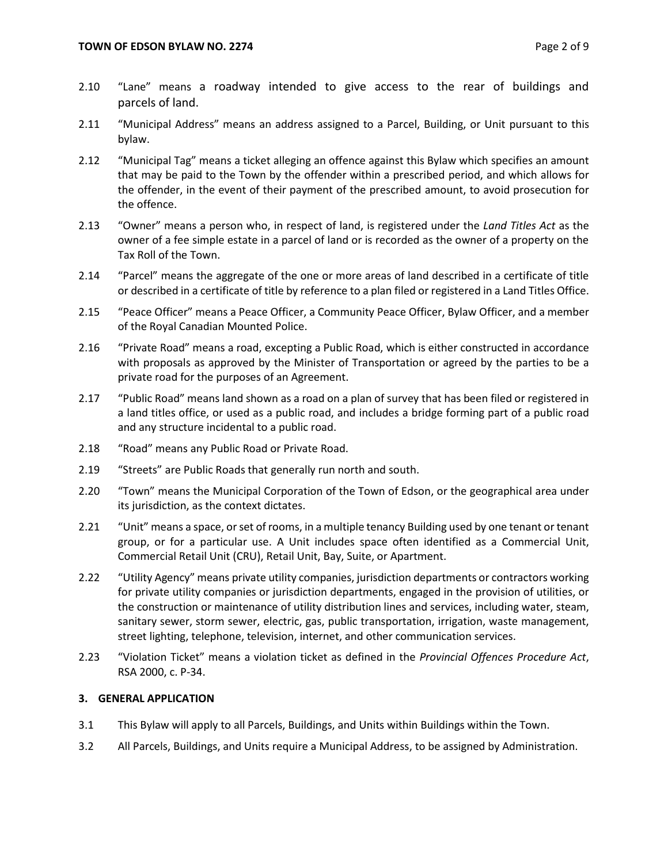- 2.10 "Lane" means a roadway intended to give access to the rear of buildings and parcels of land.
- 2.11 "Municipal Address" means an address assigned to a Parcel, Building, or Unit pursuant to this bylaw.
- 2.12 "Municipal Tag" means a ticket alleging an offence against this Bylaw which specifies an amount that may be paid to the Town by the offender within a prescribed period, and which allows for the offender, in the event of their payment of the prescribed amount, to avoid prosecution for the offence.
- 2.13 "Owner" means a person who, in respect of land, is registered under the *Land Titles Act* as the owner of a fee simple estate in a parcel of land or is recorded as the owner of a property on the Tax Roll of the Town.
- 2.14 "Parcel" means the aggregate of the one or more areas of land described in a certificate of title or described in a certificate of title by reference to a plan filed or registered in a Land Titles Office.
- 2.15 "Peace Officer" means a Peace Officer, a Community Peace Officer, Bylaw Officer, and a member of the Royal Canadian Mounted Police.
- 2.16 "Private Road" means a road, excepting a Public Road, which is either constructed in accordance with proposals as approved by the Minister of Transportation or agreed by the parties to be a private road for the purposes of an Agreement.
- 2.17 "Public Road" means land shown as a road on a plan of survey that has been filed or registered in a land titles office, or used as a public road, and includes a bridge forming part of a public road and any structure incidental to a public road.
- 2.18 "Road" means any Public Road or Private Road.
- 2.19 "Streets" are Public Roads that generally run north and south.
- 2.20 "Town" means the Municipal Corporation of the Town of Edson, or the geographical area under its jurisdiction, as the context dictates.
- 2.21 "Unit" means a space, or set of rooms, in a multiple tenancy Building used by one tenant or tenant group, or for a particular use. A Unit includes space often identified as a Commercial Unit, Commercial Retail Unit (CRU), Retail Unit, Bay, Suite, or Apartment.
- 2.22 "Utility Agency" means private utility companies, jurisdiction departments or contractors working for private utility companies or jurisdiction departments, engaged in the provision of utilities, or the construction or maintenance of utility distribution lines and services, including water, steam, sanitary sewer, storm sewer, electric, gas, public transportation, irrigation, waste management, street lighting, telephone, television, internet, and other communication services.
- 2.23 "Violation Ticket" means a violation ticket as defined in the *Provincial Offences Procedure Act*, RSA 2000, c. P-34.

## **3. GENERAL APPLICATION**

- 3.1 This Bylaw will apply to all Parcels, Buildings, and Units within Buildings within the Town.
- 3.2 All Parcels, Buildings, and Units require a Municipal Address, to be assigned by Administration.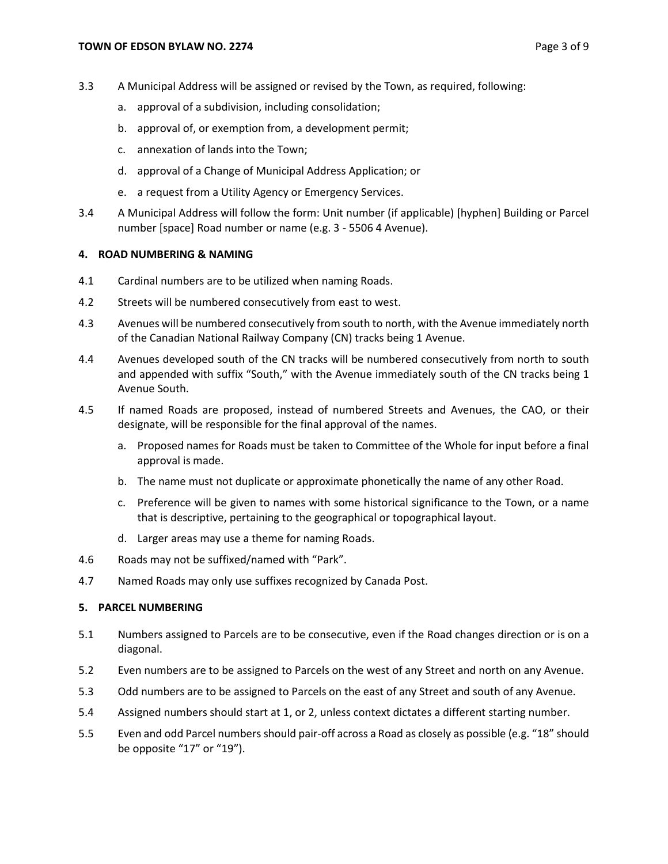- 3.3 A Municipal Address will be assigned or revised by the Town, as required, following:
	- a. approval of a subdivision, including consolidation;
	- b. approval of, or exemption from, a development permit;
	- c. annexation of lands into the Town;
	- d. approval of a Change of Municipal Address Application; or
	- e. a request from a Utility Agency or Emergency Services.
- 3.4 A Municipal Address will follow the form: Unit number (if applicable) [hyphen] Building or Parcel number [space] Road number or name (e.g. 3 - 5506 4 Avenue).

### **4. ROAD NUMBERING & NAMING**

- 4.1 Cardinal numbers are to be utilized when naming Roads.
- 4.2 Streets will be numbered consecutively from east to west.
- 4.3 Avenues will be numbered consecutively from south to north, with the Avenue immediately north of the Canadian National Railway Company (CN) tracks being 1 Avenue.
- 4.4 Avenues developed south of the CN tracks will be numbered consecutively from north to south and appended with suffix "South," with the Avenue immediately south of the CN tracks being 1 Avenue South.
- 4.5 If named Roads are proposed, instead of numbered Streets and Avenues, the CAO, or their designate, will be responsible for the final approval of the names.
	- a. Proposed names for Roads must be taken to Committee of the Whole for input before a final approval is made.
	- b. The name must not duplicate or approximate phonetically the name of any other Road.
	- c. Preference will be given to names with some historical significance to the Town, or a name that is descriptive, pertaining to the geographical or topographical layout.
	- d. Larger areas may use a theme for naming Roads.
- 4.6 Roads may not be suffixed/named with "Park".
- 4.7 Named Roads may only use suffixes recognized by Canada Post.

### **5. PARCEL NUMBERING**

- 5.1 Numbers assigned to Parcels are to be consecutive, even if the Road changes direction or is on a diagonal.
- 5.2 Even numbers are to be assigned to Parcels on the west of any Street and north on any Avenue.
- 5.3 Odd numbers are to be assigned to Parcels on the east of any Street and south of any Avenue.
- 5.4 Assigned numbers should start at 1, or 2, unless context dictates a different starting number.
- 5.5 Even and odd Parcel numbers should pair-off across a Road as closely as possible (e.g. "18" should be opposite "17" or "19").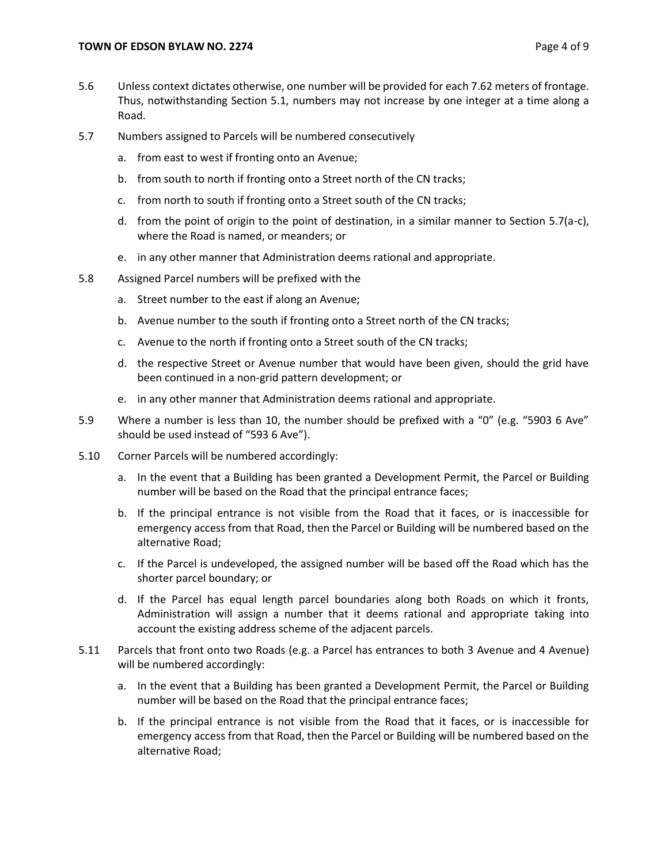- 5.6 Unless context dictates otherwise, one number will be provided for each 7.62 meters of frontage. Thus, notwithstanding Section 5.1, numbers may not increase by one integer at a time along a Road.
- 5.7 Numbers assigned to Parcels will be numbered consecutively
	- a. from east to west if fronting onto an Avenue;
	- b. from south to north if fronting onto a Street north of the CN tracks;
	- c. from north to south if fronting onto a Street south of the CN tracks;
	- d. from the point of origin to the point of destination, in a similar manner to Section 5.7(a-c), where the Road is named, or meanders; or
	- e. in any other manner that Administration deems rational and appropriate.
- 5.8 Assigned Parcel numbers will be prefixed with the
	- a. Street number to the east if along an Avenue;
	- b. Avenue number to the south if fronting onto a Street north of the CN tracks;
	- c. Avenue to the north if fronting onto a Street south of the CN tracks;
	- d. the respective Street or Avenue number that would have been given, should the grid have been continued in a non-grid pattern development; or
	- e. in any other manner that Administration deems rational and appropriate.
- 5.9 Where a number is less than 10, the number should be prefixed with a "0" (e.g. "5903 6 Ave" should be used instead of "593 6 Ave").
- 5.10 Corner Parcels will be numbered accordingly:
	- a. In the event that a Building has been granted a Development Permit, the Parcel or Building number will be based on the Road that the principal entrance faces;
	- b. If the principal entrance is not visible from the Road that it faces, or is inaccessible for emergency access from that Road, then the Parcel or Building will be numbered based on the alternative Road;
	- c. If the Parcel is undeveloped, the assigned number will be based off the Road which has the shorter parcel boundary; or
	- d. If the Parcel has equal length parcel boundaries along both Roads on which it fronts, Administration will assign a number that it deems rational and appropriate taking into account the existing address scheme of the adjacent parcels.
- 5.11 Parcels that front onto two Roads (e.g. a Parcel has entrances to both 3 Avenue and 4 Avenue) will be numbered accordingly:
	- a. In the event that a Building has been granted a Development Permit, the Parcel or Building number will be based on the Road that the principal entrance faces;
	- b. If the principal entrance is not visible from the Road that it faces, or is inaccessible for emergency access from that Road, then the Parcel or Building will be numbered based on the alternative Road;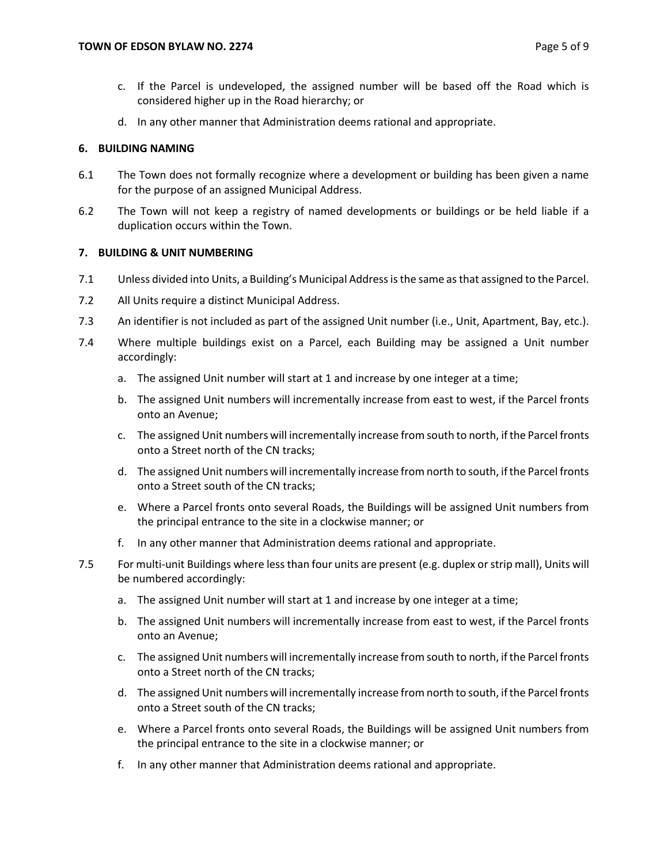- c. If the Parcel is undeveloped, the assigned number will be based off the Road which is considered higher up in the Road hierarchy; or
- d. In any other manner that Administration deems rational and appropriate.

## **6. BUILDING NAMING**

- 6.1 The Town does not formally recognize where a development or building has been given a name for the purpose of an assigned Municipal Address.
- 6.2 The Town will not keep a registry of named developments or buildings or be held liable if a duplication occurs within the Town.

# **7. BUILDING & UNIT NUMBERING**

- 7.1 Unless divided into Units, a Building's Municipal Address is the same as that assigned to the Parcel.
- 7.2 All Units require a distinct Municipal Address.
- 7.3 An identifier is not included as part of the assigned Unit number (i.e., Unit, Apartment, Bay, etc.).
- 7.4 Where multiple buildings exist on a Parcel, each Building may be assigned a Unit number accordingly:
	- a. The assigned Unit number will start at 1 and increase by one integer at a time;
	- b. The assigned Unit numbers will incrementally increase from east to west, if the Parcel fronts onto an Avenue;
	- c. The assigned Unit numbers will incrementally increase from south to north, if the Parcel fronts onto a Street north of the CN tracks;
	- d. The assigned Unit numbers will incrementally increase from north to south, if the Parcel fronts onto a Street south of the CN tracks;
	- e. Where a Parcel fronts onto several Roads, the Buildings will be assigned Unit numbers from the principal entrance to the site in a clockwise manner; or
	- f. In any other manner that Administration deems rational and appropriate.
- 7.5 For multi-unit Buildings where less than four units are present (e.g. duplex or strip mall), Units will be numbered accordingly:
	- a. The assigned Unit number will start at 1 and increase by one integer at a time;
	- b. The assigned Unit numbers will incrementally increase from east to west, if the Parcel fronts onto an Avenue;
	- c. The assigned Unit numbers will incrementally increase from south to north, if the Parcel fronts onto a Street north of the CN tracks;
	- d. The assigned Unit numbers will incrementally increase from north to south, if the Parcel fronts onto a Street south of the CN tracks;
	- e. Where a Parcel fronts onto several Roads, the Buildings will be assigned Unit numbers from the principal entrance to the site in a clockwise manner; or
	- f. In any other manner that Administration deems rational and appropriate.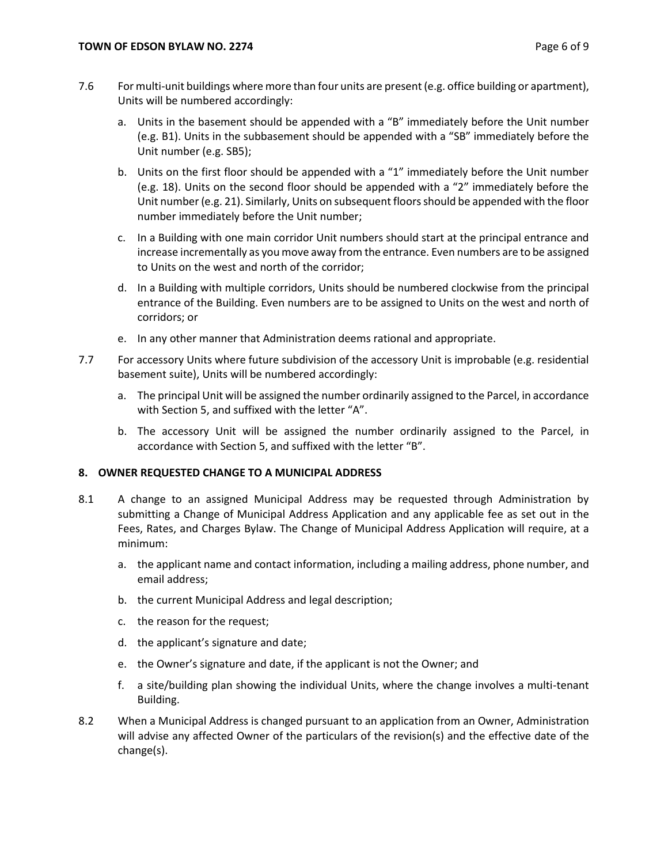- 7.6 For multi-unit buildings where more than four units are present (e.g. office building or apartment), Units will be numbered accordingly:
	- a. Units in the basement should be appended with a "B" immediately before the Unit number (e.g. B1). Units in the subbasement should be appended with a "SB" immediately before the Unit number (e.g. SB5);
	- b. Units on the first floor should be appended with a "1" immediately before the Unit number (e.g. 18). Units on the second floor should be appended with a "2" immediately before the Unit number (e.g. 21). Similarly, Units on subsequent floors should be appended with the floor number immediately before the Unit number;
	- c. In a Building with one main corridor Unit numbers should start at the principal entrance and increase incrementally as you move away from the entrance. Even numbers are to be assigned to Units on the west and north of the corridor;
	- d. In a Building with multiple corridors, Units should be numbered clockwise from the principal entrance of the Building. Even numbers are to be assigned to Units on the west and north of corridors; or
	- e. In any other manner that Administration deems rational and appropriate.
- 7.7 For accessory Units where future subdivision of the accessory Unit is improbable (e.g. residential basement suite), Units will be numbered accordingly:
	- a. The principal Unit will be assigned the number ordinarily assigned to the Parcel, in accordance with Section 5, and suffixed with the letter "A".
	- b. The accessory Unit will be assigned the number ordinarily assigned to the Parcel, in accordance with Section 5, and suffixed with the letter "B".

## **8. OWNER REQUESTED CHANGE TO A MUNICIPAL ADDRESS**

- 8.1 A change to an assigned Municipal Address may be requested through Administration by submitting a Change of Municipal Address Application and any applicable fee as set out in the Fees, Rates, and Charges Bylaw. The Change of Municipal Address Application will require, at a minimum:
	- a. the applicant name and contact information, including a mailing address, phone number, and email address;
	- b. the current Municipal Address and legal description;
	- c. the reason for the request;
	- d. the applicant's signature and date;
	- e. the Owner's signature and date, if the applicant is not the Owner; and
	- f. a site/building plan showing the individual Units, where the change involves a multi-tenant Building.
- 8.2 When a Municipal Address is changed pursuant to an application from an Owner, Administration will advise any affected Owner of the particulars of the revision(s) and the effective date of the change(s).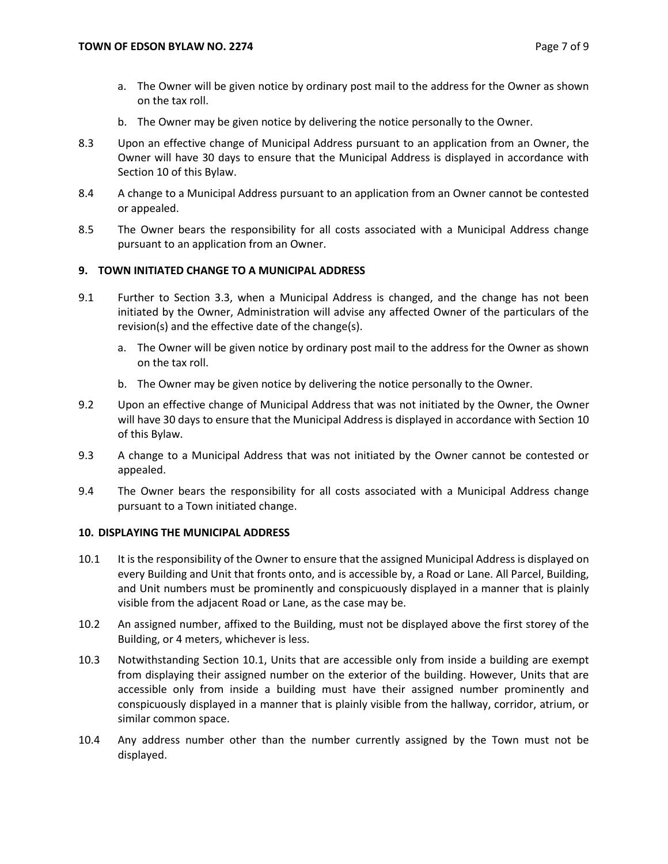- a. The Owner will be given notice by ordinary post mail to the address for the Owner as shown on the tax roll.
- b. The Owner may be given notice by delivering the notice personally to the Owner.
- 8.3 Upon an effective change of Municipal Address pursuant to an application from an Owner, the Owner will have 30 days to ensure that the Municipal Address is displayed in accordance with Section 10 of this Bylaw.
- 8.4 A change to a Municipal Address pursuant to an application from an Owner cannot be contested or appealed.
- 8.5 The Owner bears the responsibility for all costs associated with a Municipal Address change pursuant to an application from an Owner.

## **9. TOWN INITIATED CHANGE TO A MUNICIPAL ADDRESS**

- 9.1 Further to Section 3.3, when a Municipal Address is changed, and the change has not been initiated by the Owner, Administration will advise any affected Owner of the particulars of the revision(s) and the effective date of the change(s).
	- a. The Owner will be given notice by ordinary post mail to the address for the Owner as shown on the tax roll.
	- b. The Owner may be given notice by delivering the notice personally to the Owner.
- 9.2 Upon an effective change of Municipal Address that was not initiated by the Owner, the Owner will have 30 days to ensure that the Municipal Address is displayed in accordance with Section 10 of this Bylaw.
- 9.3 A change to a Municipal Address that was not initiated by the Owner cannot be contested or appealed.
- 9.4 The Owner bears the responsibility for all costs associated with a Municipal Address change pursuant to a Town initiated change.

### **10. DISPLAYING THE MUNICIPAL ADDRESS**

- <span id="page-6-0"></span>10.1 It is the responsibility of the Owner to ensure that the assigned Municipal Address is displayed on every Building and Unit that fronts onto, and is accessible by, a Road or Lane. All Parcel, Building, and Unit numbers must be prominently and conspicuously displayed in a manner that is plainly visible from the adjacent Road or Lane, as the case may be.
- 10.2 An assigned number, affixed to the Building, must not be displayed above the first storey of the Building, or 4 meters, whichever is less.
- 10.3 Notwithstanding Section [10.1,](#page-6-0) Units that are accessible only from inside a building are exempt from displaying their assigned number on the exterior of the building. However, Units that are accessible only from inside a building must have their assigned number prominently and conspicuously displayed in a manner that is plainly visible from the hallway, corridor, atrium, or similar common space.
- 10.4 Any address number other than the number currently assigned by the Town must not be displayed.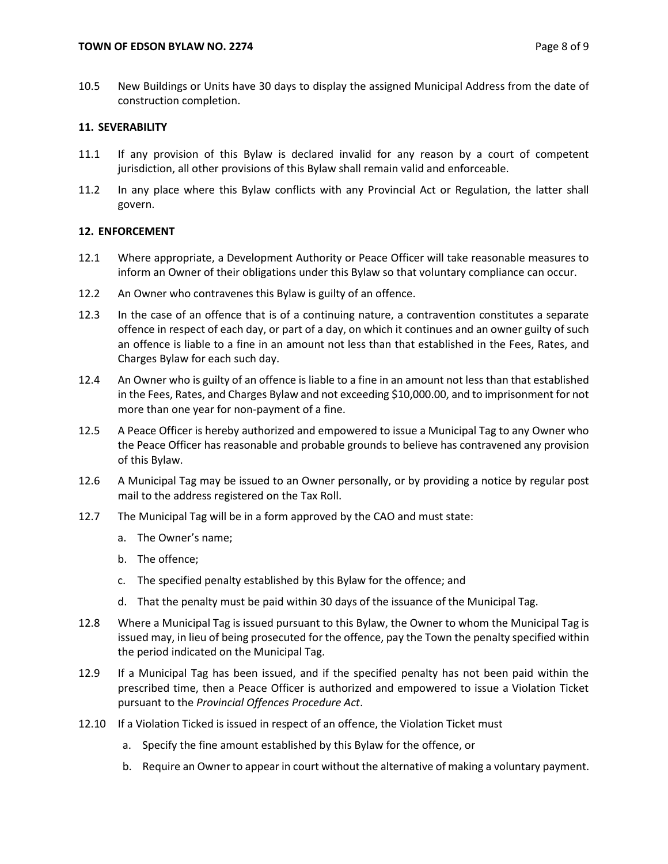10.5 New Buildings or Units have 30 days to display the assigned Municipal Address from the date of construction completion.

# **11. SEVERABILITY**

- 11.1 If any provision of this Bylaw is declared invalid for any reason by a court of competent jurisdiction, all other provisions of this Bylaw shall remain valid and enforceable.
- 11.2 In any place where this Bylaw conflicts with any Provincial Act or Regulation, the latter shall govern.

## **12. ENFORCEMENT**

- 12.1 Where appropriate, a Development Authority or Peace Officer will take reasonable measures to inform an Owner of their obligations under this Bylaw so that voluntary compliance can occur.
- 12.2 An Owner who contravenes this Bylaw is guilty of an offence.
- 12.3 In the case of an offence that is of a continuing nature, a contravention constitutes a separate offence in respect of each day, or part of a day, on which it continues and an owner guilty of such an offence is liable to a fine in an amount not less than that established in the Fees, Rates, and Charges Bylaw for each such day.
- 12.4 An Owner who is guilty of an offence is liable to a fine in an amount not less than that established in the Fees, Rates, and Charges Bylaw and not exceeding \$10,000.00, and to imprisonment for not more than one year for non-payment of a fine.
- 12.5 A Peace Officer is hereby authorized and empowered to issue a Municipal Tag to any Owner who the Peace Officer has reasonable and probable grounds to believe has contravened any provision of this Bylaw.
- 12.6 A Municipal Tag may be issued to an Owner personally, or by providing a notice by regular post mail to the address registered on the Tax Roll.
- 12.7 The Municipal Tag will be in a form approved by the CAO and must state:
	- a. The Owner's name;
	- b. The offence;
	- c. The specified penalty established by this Bylaw for the offence; and
	- d. That the penalty must be paid within 30 days of the issuance of the Municipal Tag.
- 12.8 Where a Municipal Tag is issued pursuant to this Bylaw, the Owner to whom the Municipal Tag is issued may, in lieu of being prosecuted for the offence, pay the Town the penalty specified within the period indicated on the Municipal Tag.
- 12.9 If a Municipal Tag has been issued, and if the specified penalty has not been paid within the prescribed time, then a Peace Officer is authorized and empowered to issue a Violation Ticket pursuant to the *Provincial Offences Procedure Act*.
- 12.10 If a Violation Ticked is issued in respect of an offence, the Violation Ticket must
	- a. Specify the fine amount established by this Bylaw for the offence, or
	- b. Require an Owner to appear in court without the alternative of making a voluntary payment.